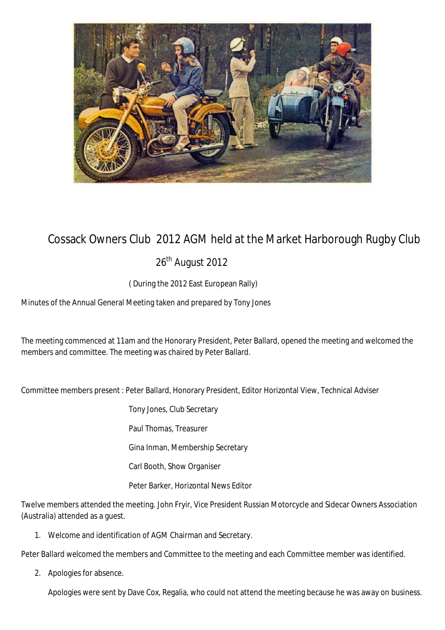

## Cossack Owners Club 2012 AGM held at the Market Harborough Rugby Club

26<sup>th</sup> August 2012

( During the 2012 East European Rally)

Minutes of the Annual General Meeting taken and prepared by Tony Jones

The meeting commenced at 11am and the Honorary President, Peter Ballard, opened the meeting and welcomed the members and committee. The meeting was chaired by Peter Ballard.

Committee members present : Peter Ballard, Honorary President, Editor Horizontal View, Technical Adviser

Tony Jones, Club Secretary

Paul Thomas, Treasurer

Gina Inman, Membership Secretary

Carl Booth, Show Organiser

Peter Barker, Horizontal News Editor

Twelve members attended the meeting. John Fryir, Vice President Russian Motorcycle and Sidecar Owners Association (Australia) attended as a guest.

1. Welcome and identification of AGM Chairman and Secretary.

Peter Ballard welcomed the members and Committee to the meeting and each Committee member was identified.

2. Apologies for absence.

Apologies were sent by Dave Cox, Regalia, who could not attend the meeting because he was away on business.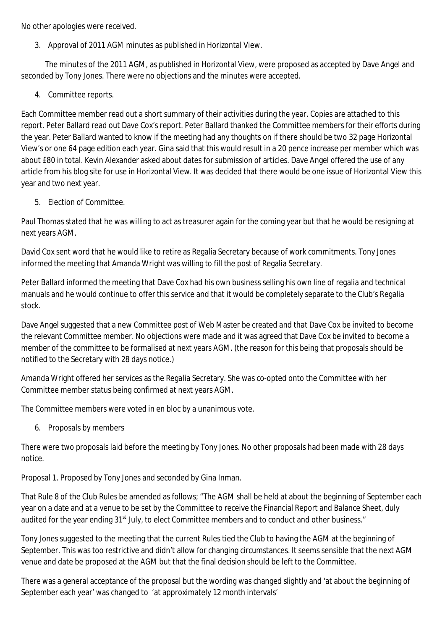No other apologies were received.

3. Approval of 2011 AGM minutes as published in Horizontal View.

 The minutes of the 2011 AGM, as published in Horizontal View, were proposed as accepted by Dave Angel and seconded by Tony Jones. There were no objections and the minutes were accepted.

4. Committee reports.

Each Committee member read out a short summary of their activities during the year. Copies are attached to this report. Peter Ballard read out Dave Cox's report. Peter Ballard thanked the Committee members for their efforts during the year. Peter Ballard wanted to know if the meeting had any thoughts on if there should be two 32 page Horizontal View's or one 64 page edition each year. Gina said that this would result in a 20 pence increase per member which was about £80 in total. Kevin Alexander asked about dates for submission of articles. Dave Angel offered the use of any article from his blog site for use in Horizontal View. It was decided that there would be one issue of Horizontal View this year and two next year.

5. Election of Committee.

Paul Thomas stated that he was willing to act as treasurer again for the coming year but that he would be resigning at next years AGM.

David Cox sent word that he would like to retire as Regalia Secretary because of work commitments. Tony Jones informed the meeting that Amanda Wright was willing to fill the post of Regalia Secretary.

Peter Ballard informed the meeting that Dave Cox had his own business selling his own line of regalia and technical manuals and he would continue to offer this service and that it would be completely separate to the Club's Regalia stock.

Dave Angel suggested that a new Committee post of Web Master be created and that Dave Cox be invited to become the relevant Committee member. No objections were made and it was agreed that Dave Cox be invited to become a member of the committee to be formalised at next years AGM. (the reason for this being that proposals should be notified to the Secretary with 28 days notice.)

Amanda Wright offered her services as the Regalia Secretary. She was co-opted onto the Committee with her Committee member status being confirmed at next years AGM.

The Committee members were voted in en bloc by a unanimous vote.

6. Proposals by members

There were two proposals laid before the meeting by Tony Jones. No other proposals had been made with 28 days notice.

Proposal 1. Proposed by Tony Jones and seconded by Gina Inman.

That Rule 8 of the Club Rules be amended as follows; "The AGM shall be held at about the beginning of September each year on a date and at a venue to be set by the Committee to receive the Financial Report and Balance Sheet, duly audited for the year ending 31<sup>st</sup> July, to elect Committee members and to conduct and other business."

Tony Jones suggested to the meeting that the current Rules tied the Club to having the AGM at the beginning of September. This was too restrictive and didn't allow for changing circumstances. It seems sensible that the next AGM venue and date be proposed at the AGM but that the final decision should be left to the Committee.

There was a general acceptance of the proposal but the wording was changed slightly and 'at about the beginning of September each year' was changed to 'at approximately 12 month intervals'